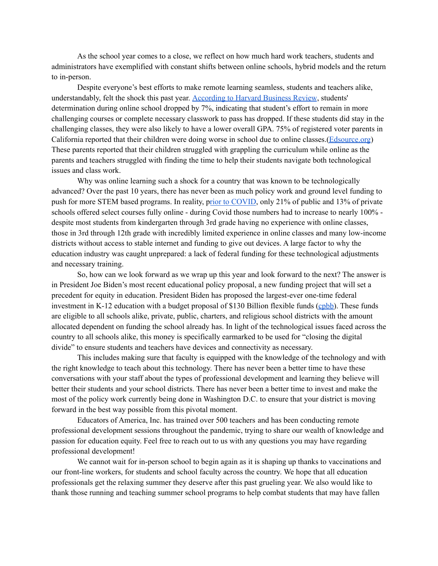As the school year comes to a close, we reflect on how much hard work teachers, students and administrators have exemplified with constant shifts between online schools, hybrid models and the return to in-person.

Despite everyone's best efforts to make remote learning seamless, students and teachers alike, understandably, felt the shock this past year. [According](https://hbr.org/2013/12/students-get-lower-grades-in-online-courses) to Harvard Business Review, students' determination during online school dropped by 7%, indicating that student's effort to remain in more challenging courses or complete necessary classwork to pass has dropped. If these students did stay in the challenging classes, they were also likely to have a lower overall GPA. 75% of registered voter parents in California reported that their children were doing worse in school due to online classes.[\(Edsource.org](https://edsource.org/2020/disappointing-grades-technology-glitches-and-glimpses-of-learning-fun/641615)) These parents reported that their children struggled with grappling the curriculum while online as the parents and teachers struggled with finding the time to help their students navigate both technological issues and class work.

Why was online learning such a shock for a country that was known to be technologically advanced? Over the past 10 years, there has never been as much policy work and ground level funding to push for more STEM based programs. In reality, prior to [COVID](https://educationdata.org/online-education-statistics), only 21% of public and 13% of private schools offered select courses fully online - during Covid those numbers had to increase to nearly 100% despite most students from kindergarten through 3rd grade having no experience with online classes, those in 3rd through 12th grade with incredibly limited experience in online classes and many low-income districts without access to stable internet and funding to give out devices. A large factor to why the education industry was caught unprepared: a lack of federal funding for these technological adjustments and necessary training.

So, how can we look forward as we wrap up this year and look forward to the next? The answer is in President Joe Biden's most recent educational policy proposal, a new funding project that will set a precedent for equity in education. President Biden has proposed the largest-ever one-time federal investment in K-12 education with a budget proposal of \$130 Billion flexible funds [\(cpbb\)](https://www.cbpp.org/research/state-budget-and-tax/house-bill-to-implement-biden-covid-relief-plan-includes-much-needed). These funds are eligible to all schools alike, private, public, charters, and religious school districts with the amount allocated dependent on funding the school already has. In light of the technological issues faced across the country to all schools alike, this money is specifically earmarked to be used for "closing the digital divide" to ensure students and teachers have devices and connectivity as necessary.

This includes making sure that faculty is equipped with the knowledge of the technology and with the right knowledge to teach about this technology. There has never been a better time to have these conversations with your staff about the types of professional development and learning they believe will better their students and your school districts. There has never been a better time to invest and make the most of the policy work currently being done in Washington D.C. to ensure that your district is moving forward in the best way possible from this pivotal moment.

Educators of America, Inc. has trained over 500 teachers and has been conducting remote professional development sessions throughout the pandemic, trying to share our wealth of knowledge and passion for education equity. Feel free to reach out to us with any questions you may have regarding professional development!

We cannot wait for in-person school to begin again as it is shaping up thanks to vaccinations and our front-line workers, for students and school faculty across the country. We hope that all education professionals get the relaxing summer they deserve after this past grueling year. We also would like to thank those running and teaching summer school programs to help combat students that may have fallen